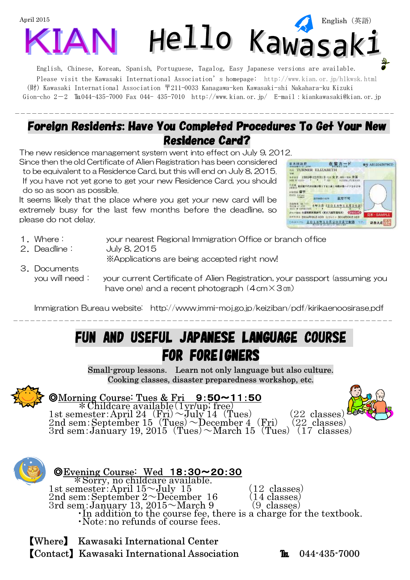

Please visit the Kawasaki International Association's homepage: http://www.kian.or.jp/hlkwsk.html (財) Kawasaki International Association 〒211-0033 Kanagawa-ken Kawasaki-shi Nakahara-ku Kizuki Gion-cho 2-2  $\text{Tri}044-435-7000$  Fax 044- 435-7010 http://www.kian.or.jp/ E-mail:kiankawasaki@kian.or.jp

## Foreign Residents: Have You Completed Procedures To Get Your New Residence Card?

The new residence management system went into effect on July 9, 2012.

Since then the old Certificate of Alien Registration has been considered to be equivalent to a Residence Card, but this will end on July 8, 2015. If you have not yet gone to get your new Residence Card, you should do so as soon as possible.

It seems likely that the place where you get your new card will be extremely busy for the last few months before the deadline, so please do not delay.



- 1.Where: your nearest Regional Immigration Office or branch office
- 2.Deadline: July 8, 2015

※Applications are being accepted right now!

3.Documents you will need: your current Certificate of Alien Registration, your passport (assuming you have one) and a recent photograph (4cm $\times$ 3㎝)

Immigration Bureau website: http://www.immi-moj.go.jp/keiziban/pdf/kirikaenoosirase.pdf

## FUN AND USEFUL JAPANESE LANGUAGE COURSE **FOR FOREIGNERS**

Small-group lessons. Learn not only language but also culture. Cooking classes, disaster preparedness workshop, etc.



 $\overline{a}$ 

### **OMorning Course: Tues & Fri** 9:50~11:50

\*Childcare available(1yr/up; free) 1st semester:April 24  $(F_{ri}) \sim \text{July } 14$  (Tues) (22 classes) 2nd sem: September  $15$  (Tues)  $\sim$  December 4 (Fri) (22 classes) 3rd sem:January 19, 2015 (Tues)  $\sim$ March 15 (Tues) (17 classes)



◎Evening Course: Wed 18:30~20:30 \*Sorry, no childcare available. 1st semester:April  $15~\text{July}$   $15$  (12 classes) 2nd sem: September  $2 \sim$  December 16 (14 classes) 2nd sem:September 2~December 16 (14 classes)<br>3rd sem:January 13, 2015~March 9 (9 classes) ・In addition to the course fee, there is a charge for the textbook. ・Note:no refunds of course fees.

【Where】 Kawasaki International Center 【Contact】 Kawasaki International Association ℡ 044-435-7000